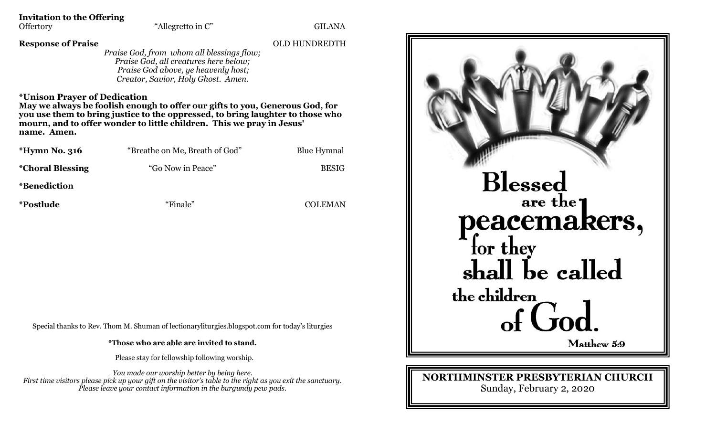**Invitation to the Offering**

**Response of Praise** OLD HUNDREDTH

*Praise God, from whom all blessings flow; Praise God, all creatures here below; Praise God above, ye heavenly host; Creator, Savior, Holy Ghost. Amen.*

## **\*Unison Prayer of Dedication**

**May we always be foolish enough to offer our gifts to you, Generous God, for you use them to bring justice to the oppressed, to bring laughter to those who mourn, and to offer wonder to little children. This we pray in Jesus' name. Amen.**

| <i>*</i> Hymn No. 316    | "Breathe on Me, Breath of God" | <b>Blue Hymnal</b> |
|--------------------------|--------------------------------|--------------------|
| <i>*</i> Choral Blessing | "Go Now in Peace"              | <b>BESIG</b>       |
| <i>*Benediction</i>      |                                |                    |
| <i>*Postlude</i>         | "Finale"                       | <b>COLEMAN</b>     |

Special thanks to Rev. Thom M. Shuman of lectionaryliturgies.blogspot.com for today's liturgies

**\*Those who are able are invited to stand.**

Please stay for fellowship following worship.

*You made our worship better by being here. First time visitors please pick up your gift on the visitor's table to the right as you exit the sanctuary. Please leave your contact information in the burgundy pew pads.*



**NORTHMINSTER PRESBYTERIAN CHURCH**

Sunday, February 2, 2020